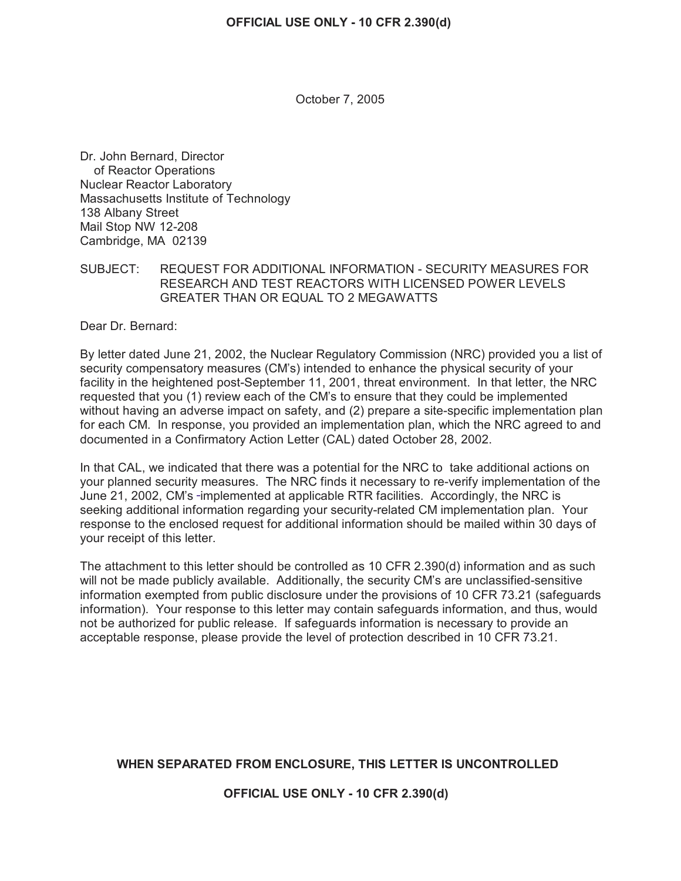October 7, 2005

Dr. John Bernard, Director of Reactor Operations Nuclear Reactor Laboratory Massachusetts Institute of Technology 138 Albany Street Mail Stop NW 12-208 Cambridge, MA 02139

SUBJECT: REQUEST FOR ADDITIONAL INFORMATION - SECURITY MEASURES FOR RESEARCH AND TEST REACTORS WITH LICENSED POWER LEVELS GREATER THAN OR EQUAL TO 2 MEGAWATTS

Dear Dr. Bernard:

By letter dated June 21, 2002, the Nuclear Regulatory Commission (NRC) provided you a list of security compensatory measures (CM's) intended to enhance the physical security of your facility in the heightened post-September 11, 2001, threat environment. In that letter, the NRC requested that you (1) review each of the CM's to ensure that they could be implemented without having an adverse impact on safety, and (2) prepare a site-specific implementation plan for each CM. In response, you provided an implementation plan, which the NRC agreed to and documented in a Confirmatory Action Letter (CAL) dated October 28, 2002.

In that CAL, we indicated that there was a potential for the NRC to take additional actions on your planned security measures. The NRC finds it necessary to re-verify implementation of the June 21, 2002, CM's -implemented at applicable RTR facilities. Accordingly, the NRC is seeking additional information regarding your security-related CM implementation plan. Your response to the enclosed request for additional information should be mailed within 30 days of your receipt of this letter.

The attachment to this letter should be controlled as 10 CFR 2.390(d) information and as such will not be made publicly available. Additionally, the security CM's are unclassified-sensitive information exempted from public disclosure under the provisions of 10 CFR 73.21 (safeguards information). Your response to this letter may contain safeguards information, and thus, would not be authorized for public release. If safeguards information is necessary to provide an acceptable response, please provide the level of protection described in 10 CFR 73.21.

# **WHEN SEPARATED FROM ENCLOSURE, THIS LETTER IS UNCONTROLLED**

**OFFICIAL USE ONLY - 10 CFR 2.390(d)**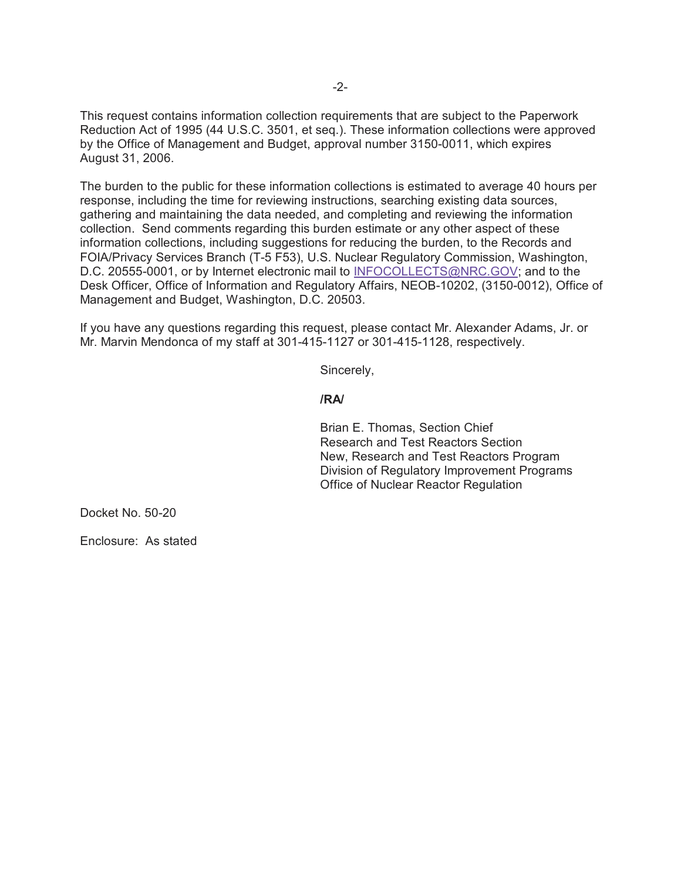This request contains information collection requirements that are subject to the Paperwork Reduction Act of 1995 (44 U.S.C. 3501, et seq.). These information collections were approved by the Office of Management and Budget, approval number 3150-0011, which expires August 31, 2006.

The burden to the public for these information collections is estimated to average 40 hours per response, including the time for reviewing instructions, searching existing data sources, gathering and maintaining the data needed, and completing and reviewing the information collection. Send comments regarding this burden estimate or any other aspect of these information collections, including suggestions for reducing the burden, to the Records and FOIA/Privacy Services Branch (T-5 F53), U.S. Nuclear Regulatory Commission, Washington, D.C. 20555-0001, or by Internet electronic mail to INFOCOLLECTS@NRC.GOV; and to the Desk Officer, Office of Information and Regulatory Affairs, NEOB-10202, (3150-0012), Office of Management and Budget, Washington, D.C. 20503.

If you have any questions regarding this request, please contact Mr. Alexander Adams, Jr. or Mr. Marvin Mendonca of my staff at 301-415-1127 or 301-415-1128, respectively.

Sincerely,

## **/RA/**

Brian E. Thomas, Section Chief Research and Test Reactors Section New, Research and Test Reactors Program Division of Regulatory Improvement Programs Office of Nuclear Reactor Regulation

Docket No. 50-20

Enclosure: As stated